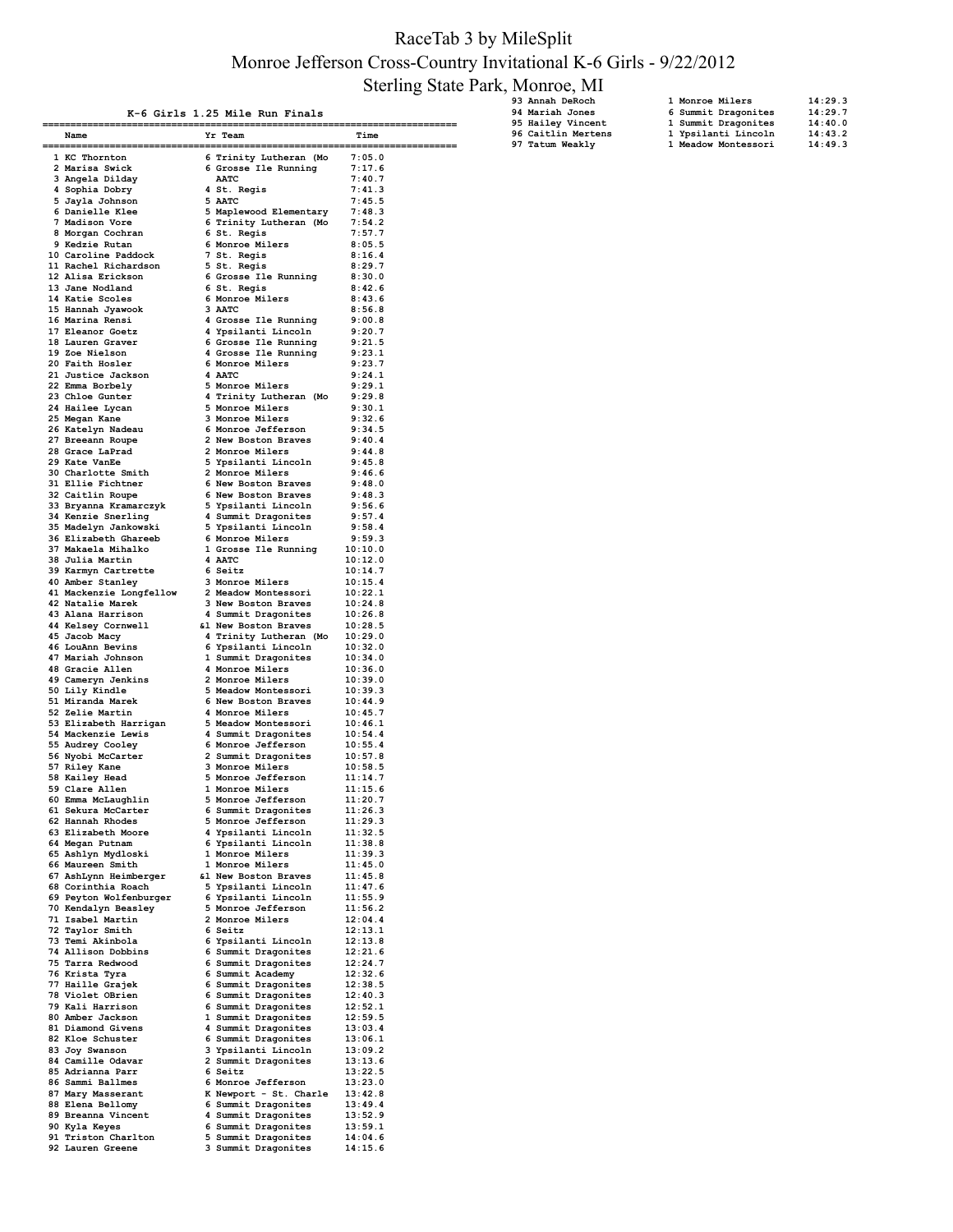## RaceTab 3 by MileSplit Monroe Jefferson Cross-Country Invitational K-6 Girls - 9/22/2012 Sterling State Park, Monroe, MI

| K-6 Girls 1.25 Mile Run Finals |  |  |  |  |  |
|--------------------------------|--|--|--|--|--|
|--------------------------------|--|--|--|--|--|

| 93 Annah DeRoch        |
|------------------------|
| <b>94 Mariah Jones</b> |
| 95 Hailey Vincent      |
| 96 Caitlin Mertens     |

| 93 Annah DeRoch    | 1 Monroe Milers     | 14:29.3 |
|--------------------|---------------------|---------|
| 94 Mariah Jones    | 6 Summit Dragonites | 14:29.7 |
| 95 Hailey Vincent  | 1 Summit Dragonites | 14:40.0 |
| 96 Caitlin Mertens | 1 Ypsilanti Lincoln | 14:43.2 |
| 97 Tatum Weakly    | 1 Meadow Montessori | 14:49.3 |

| Name                                                                                                                                                                                                                                                   | Yr Team                                                                                                                                       | Time               |
|--------------------------------------------------------------------------------------------------------------------------------------------------------------------------------------------------------------------------------------------------------|-----------------------------------------------------------------------------------------------------------------------------------------------|--------------------|
| ===================                                                                                                                                                                                                                                    |                                                                                                                                               |                    |
| 1 KC Thornton                                                                                                                                                                                                                                          | 6 Trinity Lutheran (Mo                                                                                                                        | 7:05.0             |
| 2 Marisa Swick                                                                                                                                                                                                                                         | 6 Grosse --<br>AATC<br>4 St. Regis<br>5 AATC<br>5 Maplewood Elementary<br>6 Trinity Lutheran (Mo<br>6 St. Regis<br>7 St. Regis<br>7 St. Regis |                    |
|                                                                                                                                                                                                                                                        |                                                                                                                                               | 7:17.6             |
| 3 Angela Dilday                                                                                                                                                                                                                                        |                                                                                                                                               | 7:40.7             |
| 4 Sophia Dobry                                                                                                                                                                                                                                         |                                                                                                                                               | 7:41.3             |
| 5 Jayla Johnson                                                                                                                                                                                                                                        |                                                                                                                                               | 7:45.5             |
| 6 Danielle Klee                                                                                                                                                                                                                                        |                                                                                                                                               | 7:48.3             |
|                                                                                                                                                                                                                                                        |                                                                                                                                               |                    |
| 7 Madison Vore                                                                                                                                                                                                                                         |                                                                                                                                               | 7:54.2             |
| 8 Morgan Cochran                                                                                                                                                                                                                                       |                                                                                                                                               | 7:57.7             |
|                                                                                                                                                                                                                                                        |                                                                                                                                               | 8:05.5             |
|                                                                                                                                                                                                                                                        |                                                                                                                                               | 8:16.4             |
|                                                                                                                                                                                                                                                        |                                                                                                                                               |                    |
|                                                                                                                                                                                                                                                        |                                                                                                                                               | 8:29.7             |
|                                                                                                                                                                                                                                                        |                                                                                                                                               | 8:30.0             |
|                                                                                                                                                                                                                                                        |                                                                                                                                               | 8:42.6             |
|                                                                                                                                                                                                                                                        |                                                                                                                                               | 8:43.6             |
|                                                                                                                                                                                                                                                        |                                                                                                                                               | 8:56.8             |
| 8 Morgan Cocuram<br>9 Kedzie Rutan<br>10 Caroline Paddock<br>17 St. Regis<br>11 Rachel Richardson<br>5 St. Regis<br>12 Alisa Erickson<br>6 Grosse Ile Running<br>13 Jane Nodland<br>6 St. Regis<br>14 Katie Scoles<br>16 Marina Rensi<br>16 Marina Ren |                                                                                                                                               |                    |
|                                                                                                                                                                                                                                                        |                                                                                                                                               | 9:00.8             |
|                                                                                                                                                                                                                                                        |                                                                                                                                               | 9:20.7             |
|                                                                                                                                                                                                                                                        |                                                                                                                                               | 9:21.5             |
|                                                                                                                                                                                                                                                        |                                                                                                                                               |                    |
|                                                                                                                                                                                                                                                        |                                                                                                                                               | 9:23.1             |
|                                                                                                                                                                                                                                                        |                                                                                                                                               |                    |
|                                                                                                                                                                                                                                                        |                                                                                                                                               |                    |
|                                                                                                                                                                                                                                                        |                                                                                                                                               |                    |
|                                                                                                                                                                                                                                                        |                                                                                                                                               |                    |
|                                                                                                                                                                                                                                                        |                                                                                                                                               |                    |
|                                                                                                                                                                                                                                                        |                                                                                                                                               |                    |
| 20 Faith Hosler 6 Monroe Milers<br>21 Justice Jackson 4 AATC 9:24.1<br>22 Emma Borbely 5 Monroe Milers 9:29.1<br>23 Chole Gunter 4 Trinity Lutheran (Mo 9:29.8<br>24 Hailee Lycan 5 Monroe Milers 9:32.6<br>26 Katelyn Nadeau 6 Monroe M               |                                                                                                                                               |                    |
|                                                                                                                                                                                                                                                        |                                                                                                                                               |                    |
|                                                                                                                                                                                                                                                        |                                                                                                                                               |                    |
|                                                                                                                                                                                                                                                        |                                                                                                                                               |                    |
|                                                                                                                                                                                                                                                        |                                                                                                                                               |                    |
|                                                                                                                                                                                                                                                        |                                                                                                                                               |                    |
| 28 Grace Larrau<br>29 Grace Larrau<br>30 Charlotte Smith<br>31 Ellie Fichtner<br>5 Vension 2 Monroe Milers<br>31 Ellie Fichtner<br>6 New Boston Braves<br>32 Caitlin Roupe<br>6 New Boston Braves<br>32 Gaitlin Roupe<br>6 New Boston Braves<br>34 K   |                                                                                                                                               |                    |
|                                                                                                                                                                                                                                                        |                                                                                                                                               |                    |
|                                                                                                                                                                                                                                                        |                                                                                                                                               |                    |
|                                                                                                                                                                                                                                                        |                                                                                                                                               |                    |
|                                                                                                                                                                                                                                                        |                                                                                                                                               |                    |
|                                                                                                                                                                                                                                                        |                                                                                                                                               | 9:57.4             |
|                                                                                                                                                                                                                                                        |                                                                                                                                               | 9:58.4             |
|                                                                                                                                                                                                                                                        |                                                                                                                                               | 9:59.3             |
|                                                                                                                                                                                                                                                        |                                                                                                                                               | 10:10.0            |
|                                                                                                                                                                                                                                                        |                                                                                                                                               |                    |
|                                                                                                                                                                                                                                                        |                                                                                                                                               | 10:12.0            |
| 30 Julie Autor:<br>39 Karmyn Cartrette 6 Seitz<br>10 Amber Stanlev 3 Monroe                                                                                                                                                                            |                                                                                                                                               | 10:14.7            |
|                                                                                                                                                                                                                                                        |                                                                                                                                               | 10:15.4            |
|                                                                                                                                                                                                                                                        |                                                                                                                                               | 10:22.1            |
|                                                                                                                                                                                                                                                        |                                                                                                                                               | 10:24.8            |
| Comment Stanley (Comment of Monroe Milers)<br>1 Mackenzie Longfellow (2 Meadow Montessori<br>12 Natalie Marek (2 Meadow Boston Braves)<br>14 Nelsey Cornwell (2 New Boston Braves)<br>15 Jacob Macy (2 Trinity Juthers)<br>16 Jacob Macy               | 3 New posses.<br>4 Summit Dragonites                                                                                                          |                    |
|                                                                                                                                                                                                                                                        |                                                                                                                                               | 10:26.8            |
|                                                                                                                                                                                                                                                        |                                                                                                                                               | 10:28.5            |
|                                                                                                                                                                                                                                                        | 4 Trinity Lutheran (Mo 10:29.0                                                                                                                |                    |
| A Coulain Bevins<br>1 Coulain Bevins<br>1 Coulain Bevins<br>1 Coulain Bevins<br>1 Coulain Bevins<br>1 Coulain Bevins<br>1 Coulain Bevins<br>1 Coulain Bevins<br>2 Monroe Milers<br>1 0:33.0<br>50 Lily Kindle<br>5 Meadow Montessori<br>52 Zelie Marth |                                                                                                                                               |                    |
|                                                                                                                                                                                                                                                        |                                                                                                                                               |                    |
|                                                                                                                                                                                                                                                        |                                                                                                                                               |                    |
|                                                                                                                                                                                                                                                        |                                                                                                                                               |                    |
|                                                                                                                                                                                                                                                        |                                                                                                                                               |                    |
|                                                                                                                                                                                                                                                        |                                                                                                                                               |                    |
|                                                                                                                                                                                                                                                        |                                                                                                                                               |                    |
| 52 Zelie Martin                                                                                                                                                                                                                                        | 4 Monroe Milers                                                                                                                               | 10:45.7            |
|                                                                                                                                                                                                                                                        |                                                                                                                                               |                    |
|                                                                                                                                                                                                                                                        |                                                                                                                                               |                    |
|                                                                                                                                                                                                                                                        |                                                                                                                                               |                    |
| 52 Zelie Martin 4 Monroe Milers<br>53 Elizabeth Harrigan 5 Meadow Montessori 10:46.7<br>54 Mackenzie Lewis 4 Summit Dragonites 10:54.4<br>55 Audrey Cooley 6 Monroe Jefferson 10:55.4<br>56 Nyobi McCarter 2 Summit Dragonites 10:57.                  |                                                                                                                                               |                    |
|                                                                                                                                                                                                                                                        |                                                                                                                                               |                    |
|                                                                                                                                                                                                                                                        |                                                                                                                                               |                    |
|                                                                                                                                                                                                                                                        |                                                                                                                                               |                    |
|                                                                                                                                                                                                                                                        |                                                                                                                                               |                    |
|                                                                                                                                                                                                                                                        |                                                                                                                                               |                    |
|                                                                                                                                                                                                                                                        |                                                                                                                                               |                    |
|                                                                                                                                                                                                                                                        |                                                                                                                                               |                    |
| 62 Hannah Rhodes                                                                                                                                                                                                                                       |                                                                                                                                               | 11:29.3            |
| 63 Elizabeth Moore                                                                                                                                                                                                                                     |                                                                                                                                               | 11:32.5            |
|                                                                                                                                                                                                                                                        |                                                                                                                                               | 11:38.8            |
| 64 Megan Putnam                                                                                                                                                                                                                                        | 5 Monroe Jefferson<br>4 Ypsilanti Lincoln<br>6 Ypsilanti Lincoln                                                                              |                    |
| 65 Ashlyn Mydloski                                                                                                                                                                                                                                     | 1 Monroe Milers                                                                                                                               | 11:39.3            |
| 66 Maureen Smith                                                                                                                                                                                                                                       | 1 Monroe Milers                                                                                                                               | 11:45.0            |
|                                                                                                                                                                                                                                                        |                                                                                                                                               | 11:45.8            |
|                                                                                                                                                                                                                                                        |                                                                                                                                               | 11:47.6            |
|                                                                                                                                                                                                                                                        |                                                                                                                                               |                    |
| Contains the matter of the Boston Braves<br>67 AshLynn Heimberger<br>68 Corinthia Roach<br>69 Peyton Wolfenburger<br>70 Kendalyn Beasley<br>5 Monroe Jefferson<br>70 Medalyn Beasley<br>5 Monroe Jefferson<br>70 Medalyn Beasley<br>7 Normoe Jef       |                                                                                                                                               | 11:55.9<br>11:56.2 |
|                                                                                                                                                                                                                                                        |                                                                                                                                               |                    |
| 71 Isabel Martin                                                                                                                                                                                                                                       | 2 Monroe Milers                                                                                                                               | 12:04.4            |
| 72 Taylor Smith                                                                                                                                                                                                                                        | 6 Seitz                                                                                                                                       | 12:13.1            |
| 73 Temi Akinbola                                                                                                                                                                                                                                       |                                                                                                                                               | 12:13.8            |
|                                                                                                                                                                                                                                                        | 6 Ypsilanti Lincoln<br>6 Summit Dragonites<br>5 Summit Dragonites                                                                             |                    |
| 74 Allison Dobbins                                                                                                                                                                                                                                     |                                                                                                                                               | 12:21.6            |
| 75 Tarra Redwood                                                                                                                                                                                                                                       | 6 Summit Dragonites                                                                                                                           | 12:24.7            |
| 76 Krista Tyra                                                                                                                                                                                                                                         | 6 Summit Academy                                                                                                                              | 12:32.6            |
| 77 Haille Grajek                                                                                                                                                                                                                                       | 6 Summit Dragonites                                                                                                                           | 12:38.5            |
| 78 Violet OBrien                                                                                                                                                                                                                                       | 6 Summit Dragonites                                                                                                                           | 12:40.3            |
|                                                                                                                                                                                                                                                        |                                                                                                                                               |                    |
| 79 Kali Harrison                                                                                                                                                                                                                                       | 6 Summit Dragonites<br>1 Summit Dragonites                                                                                                    | 12:52.1            |
| 80 Amber Jackson                                                                                                                                                                                                                                       |                                                                                                                                               | 12:59.5            |
| 81 Diamond Givens                                                                                                                                                                                                                                      | 4 Summit Dragonites                                                                                                                           | 13:03.4            |
| 82 Kloe Schuster                                                                                                                                                                                                                                       | 6 Summit Dragonites                                                                                                                           | 13:06.1            |
|                                                                                                                                                                                                                                                        |                                                                                                                                               |                    |
| 83 Joy Swanson                                                                                                                                                                                                                                         | 3 Ypsilanti Lincoln                                                                                                                           | 13:09.2            |
| 84 Camille Odavar                                                                                                                                                                                                                                      | 2 Summit Dragonites                                                                                                                           | 13:13.6            |
| 85 Adrianna Parr                                                                                                                                                                                                                                       |                                                                                                                                               |                    |
| 86 Sammi Ballmes                                                                                                                                                                                                                                       |                                                                                                                                               |                    |
| 87 Mary Masserant                                                                                                                                                                                                                                      |                                                                                                                                               |                    |
| 88 Elena Bellomy                                                                                                                                                                                                                                       | 6 Seitz<br>13:22.5<br>6 Monroe Jefferson<br>13:23.0<br>K Newport - St. Charle<br>13:42.8<br>4 Summit Dragonites<br>13:52.9<br>13:52.9         |                    |
|                                                                                                                                                                                                                                                        |                                                                                                                                               |                    |
| 89 Breanna Vincent                                                                                                                                                                                                                                     |                                                                                                                                               |                    |
| 90 Kyla Keyes                                                                                                                                                                                                                                          | 6 Summit Dragonites                                                                                                                           | 13:59.1            |
| 91 Triston Charlton                                                                                                                                                                                                                                    | 5 Summit Dragonites<br>3 Summit Dragonites                                                                                                    | 14:04.6            |
| 92 Lauren Greene                                                                                                                                                                                                                                       |                                                                                                                                               | 14:15.6            |
|                                                                                                                                                                                                                                                        |                                                                                                                                               |                    |